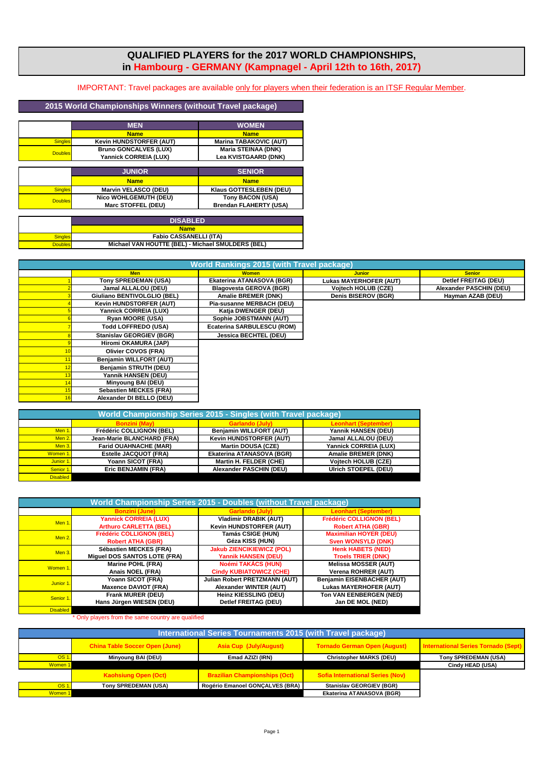## **QUALIFIED PLAYERS for the 2017 WORLD CHAMPIONSHIPS, in Hambourg - GERMANY (Kampnagel - April 12th to 16th, 2017)**

IMPORTANT: Travel packages are available only for players when their federation is an ITSF Regular Member.

## **2015 World Championships Winners (without Travel package)**

|                | <b>MEN</b>                   | <b>WOMEN</b>                  |
|----------------|------------------------------|-------------------------------|
|                | <b>Name</b>                  | <b>Name</b>                   |
| <b>Singles</b> | Kevin HUNDSTORFER (AUT)      | <b>Marina TABAKOVIC (AUT)</b> |
| <b>Doubles</b> | <b>Bruno GONCALVES (LUX)</b> | <b>Maria STEINAA (DNK)</b>    |
|                | Yannick CORREIA (LUX)        | Lea KVISTGAARD (DNK)          |
|                |                              |                               |
|                | <b>JUNIOR</b>                | <b>SENIOR</b>                 |
|                | <b>Name</b>                  | <b>Name</b>                   |
| <b>Singles</b> | <b>Marvin VELASCO (DEU)</b>  | Klaus GOTTESLEBEN (DEU)       |
| <b>Doubles</b> | <b>Nico WOHLGEMUTH (DEU)</b> | Tony BACON (USA)              |
|                | Marc STOFFEL (DEU)           | <b>Brendan FLAHERTY (USA)</b> |

|                | <b>DISABLED</b>                                   |
|----------------|---------------------------------------------------|
|                | <b>Name</b>                                       |
| Sinales        | <b>Fabio CASSANELLI (ITA)</b>                     |
| <b>Doubles</b> | Michael VAN HOUTTE (BEL) - Michael SMULDERS (BEL) |

| <b>World Rankings 2015 (with Travel package)</b> |                                 |                                |                               |                         |
|--------------------------------------------------|---------------------------------|--------------------------------|-------------------------------|-------------------------|
|                                                  | <b>Men</b>                      | <b>Women</b>                   | <b>Junior</b>                 | <b>Senior</b>           |
|                                                  | Tony SPREDEMAN (USA)            | Ekaterina ATANASOVA (BGR)      | <b>Lukas MAYERHOFER (AUT)</b> | Detlef FREITAG (DEU)    |
|                                                  | Jamal ALLALOU (DEU)             | <b>Blagovesta GEROVA (BGR)</b> | <b>Vojtech HOLUB (CZE)</b>    | Alexander PASCHIN (DEU) |
|                                                  | Giuliano BENTIVOLGLIO (BEL)     | Amalie BREMER (DNK)            | Denis BISEROV (BGR)           | Hayman AZAB (DEU)       |
|                                                  | Kevin HUNDSTORFER (AUT)         | Pia-susanne MERBACH (DEU)      |                               |                         |
|                                                  | Yannick CORREIA (LUX)           | Katja DWENGER (DEU)            |                               |                         |
|                                                  | Ryan MOORE (USA)                | Sophie JOBSTMANN (AUT)         |                               |                         |
|                                                  | Todd LOFFREDO (USA)             | Ecaterina SARBULESCU (ROM)     |                               |                         |
|                                                  | <b>Stanislav GEORGIEV (BGR)</b> | <b>Jessica BECHTEL (DEU)</b>   |                               |                         |
|                                                  | Hiromi OKAMURA (JAP)            |                                |                               |                         |
|                                                  | Olivier COVOS (FRA)             |                                |                               |                         |
|                                                  | Benjamin WILLFORT (AUT)         |                                |                               |                         |
|                                                  | <b>Benjamin STRUTH (DEU)</b>    |                                |                               |                         |
|                                                  | Yannik HANSEN (DEU)             |                                |                               |                         |
|                                                  | Minyoung BAI (DEU)              |                                |                               |                         |
|                                                  | Sebastien MECKES (FRA)          |                                |                               |                         |
|                                                  | Alexander DI BELLO (DEU)        |                                |                               |                         |
|                                                  |                                 |                                |                               |                         |

|                  |                              | World Championship Series 2015 - Singles (with Travel package) |                              |
|------------------|------------------------------|----------------------------------------------------------------|------------------------------|
|                  |                              |                                                                | eonhart (Sentember           |
| Men <sub>1</sub> | Frédéric COLLIGNON (BEL)     | <b>Beniamin WILLFORT (AUT)</b>                                 | Yannik HANSEN (DEU)          |
| Men <sub>2</sub> | Jean-Marie BLANCHARD (FRA)   | <b>Kevin HUNDSTORFER (AUT)</b>                                 | Jamal ALLALOU (DEU)          |
| Men <sub>3</sub> | <b>Farid OUAHNACHE (MAR)</b> | <b>Martin DOUSA (CZE)</b>                                      | <b>Yannick CORREIA (LUX)</b> |
| Women 1.         | Estelle JACQUOT (FRA)        | Ekaterina ATANASOVA (BGR)                                      | <b>Amalie BREMER (DNK)</b>   |
| Junior 1.        | Yoann SICOT (FRA)            | Martin H. FELDER (CHE)                                         | Vojtech HOLUB (CZE)          |
| Senior 1.        | <b>Eric BENJAMIN (FRA)</b>   | <b>Alexander PASCHIN (DEU)</b>                                 | Ulrich STOEPEL (DEU)         |
| <b>Disabled</b>  |                              |                                                                |                              |

|                  | World Championship Series 2015 - Doubles (without Travel package) |                                  |                                 |
|------------------|-------------------------------------------------------------------|----------------------------------|---------------------------------|
|                  | <b>Bonzini (June)</b>                                             | <b>Garlando (July)</b>           | <b>Leonhart (September)</b>     |
| Men 1.           | <b>Yannick CORREIA (LUX)</b>                                      | <b>Vladimir DRABIK (AUT)</b>     | <b>Frédéric COLLIGNON (BEL)</b> |
|                  | <b>Arthuro CARLETTA (BEL)</b>                                     | Kevin HUNDSTORFER (AUT)          | <b>Robert ATHA (GBR)</b>        |
| Men <sub>2</sub> | <b>Frédéric COLLIGNON (BEL)</b>                                   | <b>Tamás CSIGE (HUN)</b>         | <b>Maximilian HOYER (DEU)</b>   |
|                  | <b>Robert ATHA (GBR)</b>                                          | Géza KISS (HUN)                  | <b>Sven WONSYLD (DNK)</b>       |
| $Men3$ .         | Sébastien MECKES (FRA)                                            | <b>Jakub ZIENCIKIEWICZ (POL)</b> | <b>Henk HABETS (NED)</b>        |
|                  | Miguel DOS SANTOS LOTE (FRA)                                      | <b>Yannik HANSEN (DEU)</b>       | <b>Troels TRIER (DNK)</b>       |
| Women 1.         | <b>Marine POHL (FRA)</b>                                          | Noémi TAKÁCS (HUN)               | <b>Melissa MOSSER (AUT)</b>     |
|                  | Anais NOEL (FRA)                                                  | <b>Cindy KUBIATOWICZ (CHE)</b>   | Verena ROHRER (AUT)             |
| Junior 1.        | Yoann SICOT (FRA)                                                 | Julian Robert PRETZMANN (AUT)    | Benjamin EISENBACHER (AUT)      |
|                  | <b>Maxence DAVIOT (FRA)</b>                                       | Alexander WINTER (AUT)           | <b>Lukas MAYERHOFER (AUT)</b>   |
| Senior 1.        | Frank MURER (DEU)                                                 | Heinz KIESSLING (DEU)            | Ton VAN EENBERGEN (NED)         |
|                  | Hans Jürgen WIESEN (DEU)                                          | <b>Detlef FREITAG (DEU)</b>      | Jan DE MOL (NED)                |
| <b>Disabled</b>  |                                                                   |                                  |                                 |

Only players from the same country are qualified

| International Series Tournaments 2015 (with Travel package) |                                       |                                      |                                         |                                     |
|-------------------------------------------------------------|---------------------------------------|--------------------------------------|-----------------------------------------|-------------------------------------|
|                                                             | <b>China Table Soccer Open (June)</b> | Asia Cup (July/August)               | <b>Tornado German Open (August)</b>     | International Series Tornado (Sept) |
| OS 1.                                                       | Minyoung BAI (DEU)                    | Emad AZIZI (IRN)                     | <b>Christopher MARKS (DEU)</b>          | Tony SPREDEMAN (USA)                |
| Women 1                                                     |                                       |                                      |                                         | Cindy HEAD (USA)                    |
|                                                             | <b>Kaohsiung Open (Oct)</b>           | <b>Brazilian Championships (Oct)</b> | <b>Sofia International Series (Nov)</b> |                                     |
| OS 1.                                                       | Tony SPREDEMAN (USA)                  | Rogério Emanoel GONCALVES (BRA)      | <b>Stanislav GEORGIEV (BGR)</b>         |                                     |
| Women 1                                                     |                                       |                                      | Ekaterina ATANASOVA (BGR)               |                                     |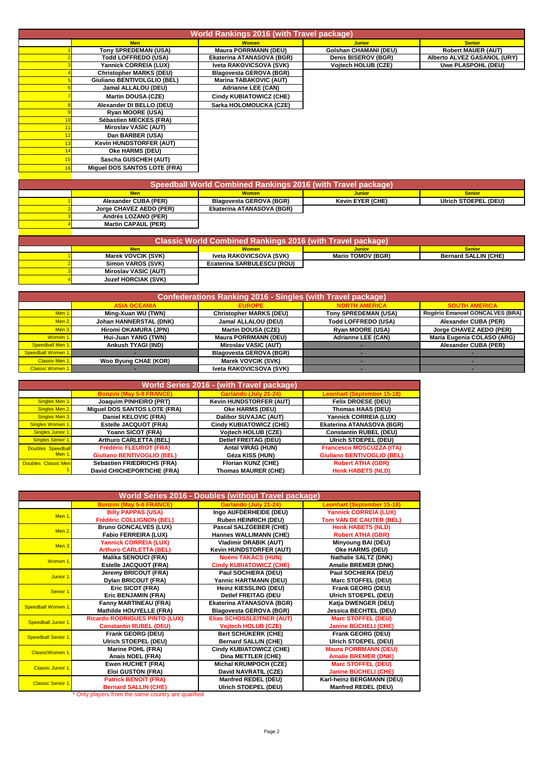| World Rankings 2016 (with Travel package) |                                |                                |                              |                             |
|-------------------------------------------|--------------------------------|--------------------------------|------------------------------|-----------------------------|
|                                           | <b>Men</b>                     | <b>Women</b>                   | <b>Junior</b>                | <b>Senior</b>               |
|                                           | Tony SPREDEMAN (USA)           | <b>Maura PORRMANN (DEU)</b>    | <b>Golshan CHAMANI (DEU)</b> | <b>Robert MAUER (AUT)</b>   |
|                                           | Todd LOFFREDO (USA)            | Ekaterina ATANASOVA (BGR)      | Denis BISEROV (BGR)          | Alberto ALVEZ GASANOL (URY) |
|                                           | Yannick CORREIA (LUX)          | Iveta RAKOVICSOVA (SVK)        | Vojtech HOLUB (CZE)          | Uwe PLASPOHL (DEU)          |
|                                           | <b>Christopher MARKS (DEU)</b> | <b>Blagovesta GEROVA (BGR)</b> |                              |                             |
|                                           | Giuliano BENTIVOLGLIO (BEL)    | <b>Marina TABAKOVIC (AUT)</b>  |                              |                             |
|                                           | Jamal ALLALOU (DEU)            | <b>Adrianne LEE (CAN)</b>      |                              |                             |
|                                           | <b>Martin DOUSA (CZE)</b>      | <b>Cindy KUBIATOWICZ (CHE)</b> |                              |                             |
|                                           | Alexander DI BELLO (DEU)       | Sarka HOLOMOUCKA (CZE)         |                              |                             |
|                                           | Ryan MOORE (USA)               |                                |                              |                             |
|                                           | Sébastien MECKES (FRA)         |                                |                              |                             |
|                                           | Miroslav VASIC (AUT)           |                                |                              |                             |
|                                           | Dan BARBER (USA)               |                                |                              |                             |
|                                           | Kevin HUNDSTORFER (AUT)        |                                |                              |                             |
|                                           | Oke HARMS (DEU)                |                                |                              |                             |
|                                           | Sascha GUSCHEH (AUT)           |                                |                              |                             |
|                                           | Miguel DOS SANTOS LOTE (FRA)   |                                |                              |                             |
|                                           |                                |                                |                              |                             |

|                            | Speedball World Combined Rankings 2016 (with Travel package) |                         |                      |
|----------------------------|--------------------------------------------------------------|-------------------------|----------------------|
| <b>Men</b>                 | <b>Women</b>                                                 | <b>Junior</b>           | <b>Senior</b>        |
| Alexander CUBA (PER)       | <b>Blagovesta GEROVA (BGR)</b>                               | <b>Kevin EYER (CHE)</b> | Ulrich STOEPEL (DEU) |
| Jorge CHAVEZ AEDO (PER)    | Ekaterina ATANASOVA (BGR)                                    |                         |                      |
| Andrés LOZANO (PER)        |                                                              |                         |                      |
| <b>Martin CAPAUL (PER)</b> |                                                              |                         |                      |
|                            |                                                              |                         |                      |

|                      | Classic World Combined Rankings 2016 (with Travel package) |                          |                             |
|----------------------|------------------------------------------------------------|--------------------------|-----------------------------|
| Men                  | <b>Women</b>                                               | <b>Junior</b>            | <b>Senior</b>               |
| Marek VOVCIK (SVK)   | Iveta RAKOVICSOVA (SVK)                                    | <b>Mario TOMOV (BGR)</b> | <b>Bernard SALLIN (CHE)</b> |
| Simon VAROS (SVK)    | Ecaterina SARBULESCU (ROU)                                 |                          |                             |
| Miroslav VASIC (AUT) |                                                            |                          |                             |
| Jozef HORCIAK (SVK)  |                                                            |                          |                             |

|                         | Confederations Ranking 2016 - Singles (with Travel package) |                                |                             |                                 |
|-------------------------|-------------------------------------------------------------|--------------------------------|-----------------------------|---------------------------------|
|                         |                                                             |                                |                             |                                 |
| Men 1.                  | Ming-Xuan WU (TWN)                                          | <b>Christopher MARKS (DEU)</b> | <b>Tony SPREDEMAN (USA)</b> | Rogério Emanoel GONCALVES (BRA) |
| Men 2.                  | Johan HANNERSTAL (DNK)                                      | Jamal ALLALOU (DEU)            | Todd LOFFREDO (USA)         | Alexander CUBA (PER)            |
| Men $3.$                | Hiromi OKAMURA (JPN)                                        | <b>Martin DOUSA (CZE)</b>      | <b>Rvan MOORE (USA)</b>     | Jorge CHAVEZ AEDO (PER)         |
| Women 1.                | Hui-Juan YANG (TWN)                                         | <b>Maura PORRMANN (DEU)</b>    | <b>Adrianne LEE (CAN)</b>   | Maria Eugenia COLASO (ARG)      |
| Speedball Men 1.        | Ankush TYAGI (IND)                                          | <b>Miroslav VASIC (AUT)</b>    |                             | Alexander CUBA (PER)            |
| Speedball Women 1.      |                                                             | <b>Blagovesta GEROVA (BGR)</b> |                             |                                 |
| Classiv Men 1.          | <b>Woo Byung CHAE (KOR)</b>                                 | Marek VOVCIK (SVK)             |                             |                                 |
| <b>Classic Women 1.</b> |                                                             | Iveta RAKOVICSOVA (SVK)        |                             |                                 |

|                     | <b>World Series 2016 - (with Travel package)</b> |                                |                                   |
|---------------------|--------------------------------------------------|--------------------------------|-----------------------------------|
|                     | <b>Bonzini (May 5-8 FRANCE)</b>                  | Garlando (July 21-24)          | <b>Leonhart (September 15-18)</b> |
| Singles Men 1.      | Joaquim PINHEIRO (PRT)                           | <b>Kevin HUNDSTORFER (AUT)</b> | <b>Felix DROESE (DEU)</b>         |
| Singles Men 2.      | Miguel DOS SANTOS LOTE (FRA)                     | Oke HARMS (DEU)                | Thomas HAAS (DEU)                 |
| Singles Men 3.      | Daniel KELOVIC (FRA)                             | Dalibor SUVAJAC (AUT)          | Yannick CORREIA (LUX)             |
| Singles Women 1.    | Estelle JACQUOT (FRA)                            | <b>Cindy KUBIATOWICZ (CHE)</b> | Ekaterina ATANASOVA (BGR)         |
| Singles Junior 1.   | Yoann SICOT (FRA)                                | <b>Vojtech HOLUB (CZE)</b>     | <b>Constantin RUBEL (DEU)</b>     |
| Singles Senior 1.   | Arthuro CARLETTA (BEL)                           | Detlef FREITAG (DEU)           | <b>Ulrich STOEPEL (DEU)</b>       |
| Doubles Speedball   | <b>Frédéric FLEUROT (FRA)</b>                    | Antal VIRÁG (HUN)              | <b>Francesco MOSCUZZA (ITA)</b>   |
| Men <sub>1</sub>    | <b>Giuliano BENTIVOGLIO (BEL)</b>                | Géza KISS (HUN)                | <b>Giuliano BENTIVOGLIO (BEL)</b> |
| Doubles Classic Men | Sebastien FRIEDRICHS (FRA)                       | Florian KUNZ (CHE)             | <b>Robert ATHA (GBR)</b>          |
|                     | David CHICHEPORTICHE (FRA)                       | <b>Thomas MAURER (CHE)</b>     | <b>Henk HABETS (NLD)</b>          |

| World Series 2016 - Doubles (without Travel package) |                                      |                                |                                |
|------------------------------------------------------|--------------------------------------|--------------------------------|--------------------------------|
|                                                      | <b>Bonzini (May 5-8 FRANCE)</b>      | Garlando (July 21-24)          | Leonhart (September 15-18)     |
| Men <sub>1</sub>                                     | <b>Billy PAPPAS (USA)</b>            | Ingo AUFDERHEIDE (DEU)         | <b>Yannick CORREIA (LUX)</b>   |
|                                                      | <b>Frédéric COLLIGNON (BEL)</b>      | Ruben HEINRICH (DEU)           | <b>Tom VAN DE CAUTER (BEL)</b> |
| Men 2.                                               | <b>Bruno GONCALVES (LUX)</b>         | Pascal SALZGEBER (CHE)         | <b>Henk HABETS (NLD)</b>       |
|                                                      | Fabio FERREIRA (LUX)                 | Hannes WALLIMANN (CHE)         | <b>Robert ATHA (GBR)</b>       |
| Men 3.                                               | Yannick CORREIA (LUX)                | <b>Vladimir DRABIK (AUT)</b>   | Minyoung BAI (DEU)             |
|                                                      | <b>Arthuro CARLETTA (BEL)</b>        | Kevin HUNDSTORFER (AUT)        | Oke HARMS (DEU)                |
| Women <sub>1</sub>                                   | <b>Malika SENOUCI (FRA)</b>          | Noémi TAKÁCS (HUN)             | Nathalie SALTZ (DNK)           |
|                                                      | Estelle JACQUOT (FRA)                | <b>Cindy KUBIATOWICZ (CHE)</b> | Amalie BREMER (DNK)            |
| Junior 1                                             | Jeremy BRICOUT (FRA)                 | Paul SOCHIERA (DEU)            | Paul SOCHIERA (DEU)            |
|                                                      | Dylan BRICOUT (FRA)                  | Yannic HARTMANN (DEU)          | <b>Marc STOFFEL (DEU)</b>      |
| Senior 1                                             | Eric SICOT (FRA)                     | Heinz KIESSLING (DEU)          | Frank GEORG (DEU)              |
|                                                      | Eric BENJAMIN (FRA)                  | Detlef FREITAG (DEU            | <b>Ulrich STOEPEL (DEU)</b>    |
| Speedball Women 1                                    | Fanny MARTINEAU (FRA)                | Ekaterina ATANASOVA (BGR)      | Katja DWENGER (DEU)            |
|                                                      | Mathilde HOUYELLE (FRA)              | <b>Blagovesta GEROVA (BGR)</b> | <b>Jessica BECHTEL (DEU)</b>   |
| Speedball Junior 1                                   | <b>Ricardo RODRIGUES PINTO (LUX)</b> | Elias SCHOSSLEITNER (AUT)      | <b>Marc STOFFEL (DEU)</b>      |
|                                                      | <b>Constantin RUBEL (DEU)</b>        | <b>Vojtech HOLUB (CZE)</b>     | Janine BÜCHELI (CHE)           |
| Speedball Senior 1.                                  | Frank GEORG (DEU)                    | Bert SCHÜKERK (CHE)            | Frank GEORG (DEU)              |
|                                                      | Ulrich STOEPEL (DEU)                 | <b>Bernard SALLIN (CHE)</b>    | <b>Ulrich STOEPEL (DEU)</b>    |
| ClassicWomen 1.                                      | Marine POHL (FRA)                    | Cindy KUBIATOWICZ (CHE)        | <b>Maura PORRMANN (DEU)</b>    |
|                                                      | Anais NOEL (FRA)                     | Dina METTLER (CHE)             | <b>Amalie BREMER (DNK)</b>     |
| <b>Classic Junior 1.</b>                             | Ewen HUCHET (FRA)                    | <b>Michal KRUMPOCH (CZE)</b>   | <b>Marc STOFFEL (DEU)</b>      |
|                                                      | Eloi GUSTON (FRA)                    | David NAVRATIL (CZE)           | Janine BÜCHELI (CHE)           |
|                                                      | <b>Patrick BENOIT (FRA)</b>          | Manfred REDEL (DEU)            | Karl-heinz BERGMANN (DEU)      |
| <b>Classic Senior 1.</b>                             | <b>Bernard SALLIN (CHE)</b>          | <b>Ulrich STOEPEL (DEU)</b>    | Manfred REDEL (DEU)            |

\* Only players from the same country are qualified